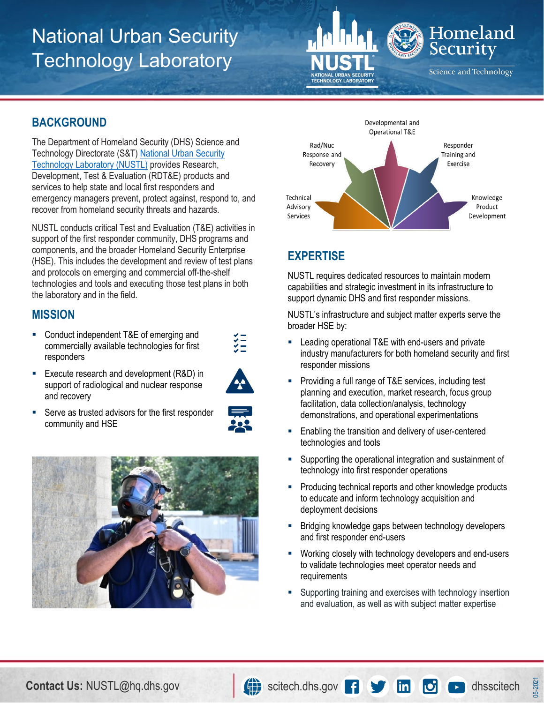# National Urban Security Technology Laboratory



#### **BACKGROUND**

 The Department of Homeland Security (DHS) Science and Technology Directorate (S&T) National Urban Security **Technology Laboratory (NUSTL)** provides Research, Development, Test & Evaluation (RDT&E) products and services to help state and local first responders and emergency managers prevent, protect against, respond to, and recover from homeland security threats and hazards.

 NUSTL conducts critical Test and Evaluation (T&E) activities in support of the first responder community, DHS programs and components, and the broader Homeland Security Enterprise (HSE). This includes the development and review of test plans and protocols on emerging and commercial off-the-shelf technologies and tools and executing those test plans in both the laboratory and in the field.

#### **MISSION**

 commercially available technologies for first ■ Conduct independent T&E of emerging and responders





 $\frac{1}{2}$ 

**Serve as trusted advisors for the first responder** community and HSE







## **EXPERTISE**

 NUSTL requires dedicated resources to maintain modern capabilities and strategic investment in its infrastructure to support dynamic DHS and first responder missions.

 NUSTL's infrastructure and subject matter experts serve the broader HSE by:

- **EXEC** Leading operational T&E with end-users and private industry manufacturers for both homeland security and first responder missions
- **Providing a full range of T&E services, including test**  planning and execution, market research, focus group facilitation, data collection/analysis, technology demonstrations, and operational experimentations
- Enabling the transition and delivery of user-centered technologies and tools
- **Supporting the operational integration and sustainment of** technology into first responder operations
- **Producing technical reports and other knowledge products**  to educate and inform technology acquisition and deployment decisions
- **Bridging knowledge gaps between technology developers** and first responder end-users
- **Working closely with technology developers and end-users**  to validate technologies meet operator needs and requirements
- **Supporting training and exercises with technology insertion** and evaluation, as well as with subject matter expertise

05-2021